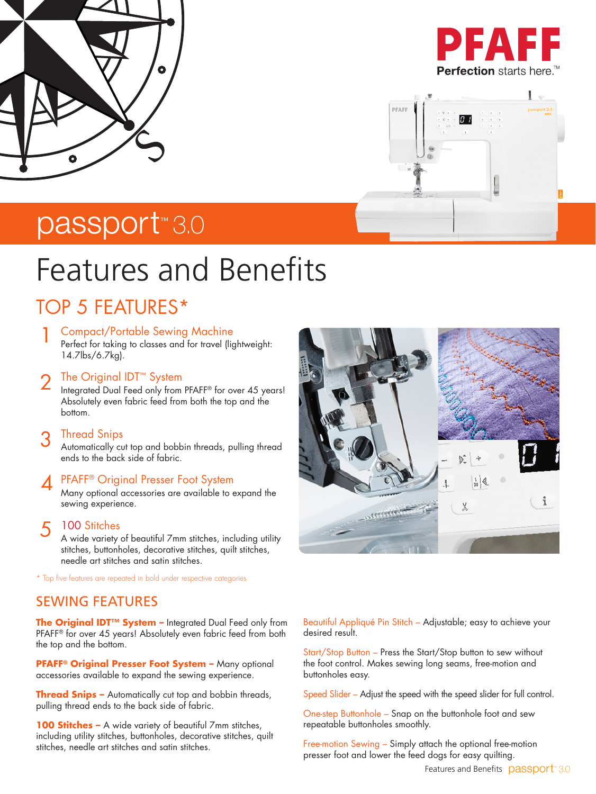





# passport<sup>\*3.0</sup>

# Features and Benefits

# TOP 5 FEATURES\*

#### 1 Compact/Portable Sewing Machine

Perfect for taking to classes and for travel (lightweight: 14.7lbs/6.7kg).

# 2 The Original IDT™ System<br>Integrated Dual Feed only from

Integrated Dual Feed only from PFAFF® for over 45 years! Absolutely even fabric feed from both the top and the bottom.

#### 3 Thread Snips

Automatically cut top and bobbin threads, pulling thread ends to the back side of fabric.

## 4 PFAFF® Original Presser Foot System<br>Many optional accessories are available to e

Many optional accessories are available to expand the sewing experience.

#### 5 100 Stitches

A wide variety of beautiful 7mm stitches, including utility stitches, buttonholes, decorative stitches, quilt stitches, needle art stitches and satin stitches.

\* Top five features are repeated in bold under respective categories

### SEWING FEATURES

**The Original IDT™ System –** Integrated Dual Feed only from PFAFF<sup>®</sup> for over 45 years! Absolutely even fabric feed from both the top and the bottom.

**PFAFF® Original Presser Foot System –** Many optional accessories available to expand the sewing experience.

**Thread Snips –** Automatically cut top and bobbin threads, pulling thread ends to the back side of fabric.

100 Stitches - A wide variety of beautiful 7mm stitches, including utility stitches, buttonholes, decorative stitches, quilt stitches, needle art stitches and satin stitches.



Beautiful Appliqué Pin Stitch – Adjustable; easy to achieve your desired result.

Start/Stop Button – Press the Start/Stop button to sew without the foot control. Makes sewing long seams, free-motion and buttonholes easy.

Speed Slider – Adjust the speed with the speed slider for full control.

One-step Buttonhole – Snap on the buttonhole foot and sew repeatable buttonholes smoothly.

Free-motion Sewing – Simply attach the optional free-motion presser foot and lower the feed dogs for easy quilting.